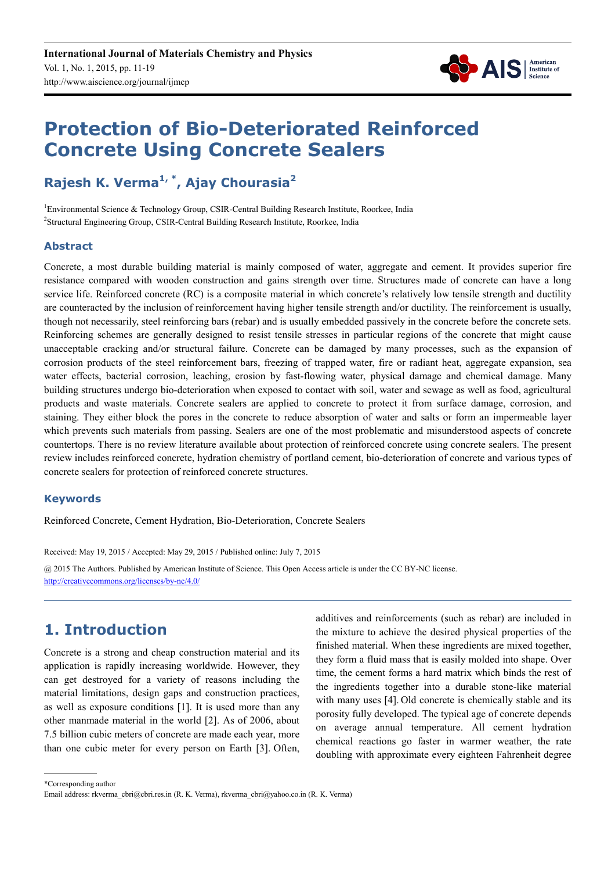

# **Protection of Bio-Deteriorated Reinforced Concrete Using Concrete Sealers**

# **Rajesh K. Verma1, \*, Ajay Chourasia<sup>2</sup>**

1 Environmental Science & Technology Group, CSIR-Central Building Research Institute, Roorkee, India <sup>2</sup>Structural Engineering Group, CSIR-Central Building Research Institute, Roorkee, India

### **Abstract**

Concrete, a most durable building material is mainly composed of water, aggregate and cement. It provides superior fire resistance compared with wooden construction and gains strength over time. Structures made of concrete can have a long service life. Reinforced concrete (RC) is a composite material in which concrete's relatively low tensile strength and ductility are counteracted by the inclusion of reinforcement having higher tensile strength and/or ductility. The reinforcement is usually, though not necessarily, steel reinforcing bars (rebar) and is usually embedded passively in the concrete before the concrete sets. Reinforcing schemes are generally designed to resist tensile stresses in particular regions of the concrete that might cause unacceptable cracking and/or structural failure. Concrete can be damaged by many processes, such as the expansion of corrosion products of the steel reinforcement bars, freezing of trapped water, fire or radiant heat, aggregate expansion, sea water effects, bacterial corrosion, leaching, erosion by fast-flowing water, physical damage and chemical damage. Many building structures undergo bio-deterioration when exposed to contact with soil, water and sewage as well as food, agricultural products and waste materials. Concrete sealers are applied to concrete to protect it from surface damage, corrosion, and staining. They either block the pores in the concrete to reduce absorption of water and salts or form an impermeable layer which prevents such materials from passing. Sealers are one of the most problematic and misunderstood aspects of concrete countertops. There is no review literature available about protection of reinforced concrete using concrete sealers. The present review includes reinforced concrete, hydration chemistry of portland cement, bio-deterioration of concrete and various types of concrete sealers for protection of reinforced concrete structures.

### **Keywords**

Reinforced Concrete, Cement Hydration, Bio-Deterioration, Concrete Sealers

Received: May 19, 2015 / Accepted: May 29, 2015 / Published online: July 7, 2015

@ 2015 The Authors. Published by American Institute of Science. This Open Access article is under the CC BY-NC license. http://creativecommons.org/licenses/by-nc/4.0/

# **1. Introduction**

Concrete is a strong and cheap construction material and its application is rapidly increasing worldwide. However, they can get destroyed for a variety of reasons including the material limitations, design gaps and construction practices, as well as exposure conditions [1]. It is used more than any other manmade material in the world [2]. As of 2006, about 7.5 billion cubic meters of concrete are made each year, more than one cubic meter for every person on Earth [3]. Often,

additives and reinforcements (such as rebar) are included in the mixture to achieve the desired physical properties of the finished material. When these ingredients are mixed together, they form a fluid mass that is easily molded into shape. Over time, the cement forms a hard matrix which binds the rest of the ingredients together into a durable stone-like material with many uses [4]. Old concrete is chemically stable and its porosity fully developed. The typical age of concrete depends on average annual temperature. All cement hydration chemical reactions go faster in warmer weather, the rate doubling with approximate every eighteen Fahrenheit degree

\*Corresponding author

Email address: rkverma\_cbri@cbri.res.in (R. K. Verma), rkverma\_cbri@yahoo.co.in (R. K. Verma)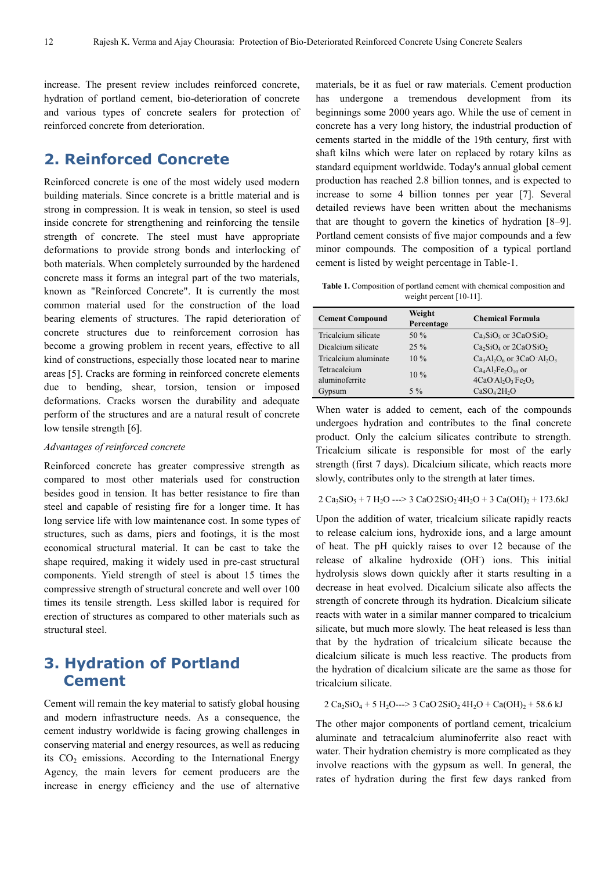increase. The present review includes reinforced concrete, hydration of portland cement, bio-deterioration of concrete and various types of concrete sealers for protection of reinforced concrete from deterioration.

# **2. Reinforced Concrete**

Reinforced concrete is one of the most widely used modern building materials. Since concrete is a brittle material and is strong in compression. It is weak in tension, so steel is used inside concrete for strengthening and reinforcing the tensile strength of concrete. The steel must have appropriate deformations to provide strong bonds and interlocking of both materials. When completely surrounded by the hardened concrete mass it forms an integral part of the two materials, known as "Reinforced Concrete". It is currently the most common material used for the construction of the load bearing elements of structures. The rapid deterioration of concrete structures due to reinforcement corrosion has become a growing problem in recent years, effective to all kind of constructions, especially those located near to marine areas [5]. Cracks are forming in reinforced concrete elements due to bending, shear, torsion, tension or imposed deformations. Cracks worsen the durability and adequate perform of the structures and are a natural result of concrete low tensile strength [6].

### *Advantages of reinforced concrete*

Reinforced concrete has greater compressive strength as compared to most other materials used for construction besides good in tension. It has better resistance to fire than steel and capable of resisting fire for a longer time. It has long service life with low maintenance cost. In some types of structures, such as dams, piers and footings, it is the most economical structural material. It can be cast to take the shape required, making it widely used in pre-cast structural components. Yield strength of steel is about 15 times the compressive strength of structural concrete and well over 100 times its tensile strength. Less skilled labor is required for erection of structures as compared to other materials such as structural steel.

# **3. Hydration of Portland Cement**

Cement will remain the key material to satisfy global housing and modern infrastructure needs. As a consequence, the cement industry worldwide is facing growing challenges in conserving material and energy resources, as well as reducing its  $CO<sub>2</sub>$  emissions. According to the International Energy Agency, the main levers for cement producers are the increase in energy efficiency and the use of alternative

materials, be it as fuel or raw materials. Cement production has undergone a tremendous development from its beginnings some 2000 years ago. While the use of cement in concrete has a very long history, the industrial production of cements started in the middle of the 19th century, first with shaft kilns which were later on replaced by rotary kilns as standard equipment worldwide. Today's annual global cement production has reached 2.8 billion tonnes, and is expected to increase to some 4 billion tonnes per year [7]. Several detailed reviews have been written about the mechanisms that are thought to govern the kinetics of hydration [8–9]. Portland cement consists of five major compounds and a few minor compounds. The composition of a typical portland cement is listed by weight percentage in Table-1.

**Table 1.** Composition of portland cement with chemical composition and weight percent [10-11].

| <b>Cement Compound</b> | Weight<br>Percentage | <b>Chemical Formula</b>             |
|------------------------|----------------------|-------------------------------------|
| Tricalcium silicate    | 50 $%$               | $Ca_3SiO_5$ or $3CaOSiO_2$          |
| Dicalcium silicate     | $25\%$               | $Ca_2SiO_4$ or $2CaOSiO_2$          |
| Tricalcium aluminate   | $10\%$               | $Ca_3Al_2O_6$ or $3CaO$ $Al_2O_3$   |
| Tetracalcium           | $10\%$               | $Ca4Al2Fe2O10$ or                   |
| aluminoferrite         |                      | $4CaO Al2O3Fe2O3$                   |
| Gypsum                 | $5\%$                | CaSO <sub>4</sub> 2H <sub>2</sub> O |

When water is added to cement, each of the compounds undergoes hydration and contributes to the final concrete product. Only the calcium silicates contribute to strength. Tricalcium silicate is responsible for most of the early strength (first 7 days). Dicalcium silicate, which reacts more slowly, contributes only to the strength at later times.

 $2 Ca<sub>3</sub>SiO<sub>5</sub> + 7 H<sub>2</sub>O$  ---> 3 CaO 2SiO<sub>2</sub> 4H<sub>2</sub>O + 3 Ca(OH)<sub>2</sub> + 173.6kJ

Upon the addition of water, tricalcium silicate rapidly reacts to release calcium ions, hydroxide ions, and a large amount of heat. The pH quickly raises to over 12 because of the release of alkaline hydroxide (OH) ions. This initial hydrolysis slows down quickly after it starts resulting in a decrease in heat evolved. Dicalcium silicate also affects the strength of concrete through its hydration. Dicalcium silicate reacts with water in a similar manner compared to tricalcium silicate, but much more slowly. The heat released is less than that by the hydration of tricalcium silicate because the dicalcium silicate is much less reactive. The products from the hydration of dicalcium silicate are the same as those for tricalcium silicate.

 $2 Ca_2SiO_4 + 5 H_2O \rightarrow 3 CaO 2SiO_2 4H_2O + Ca(OH)_2 + 58.6 kJ$ 

The other major components of portland cement, tricalcium aluminate and tetracalcium aluminoferrite also react with water. Their hydration chemistry is more complicated as they involve reactions with the gypsum as well. In general, the rates of hydration during the first few days ranked from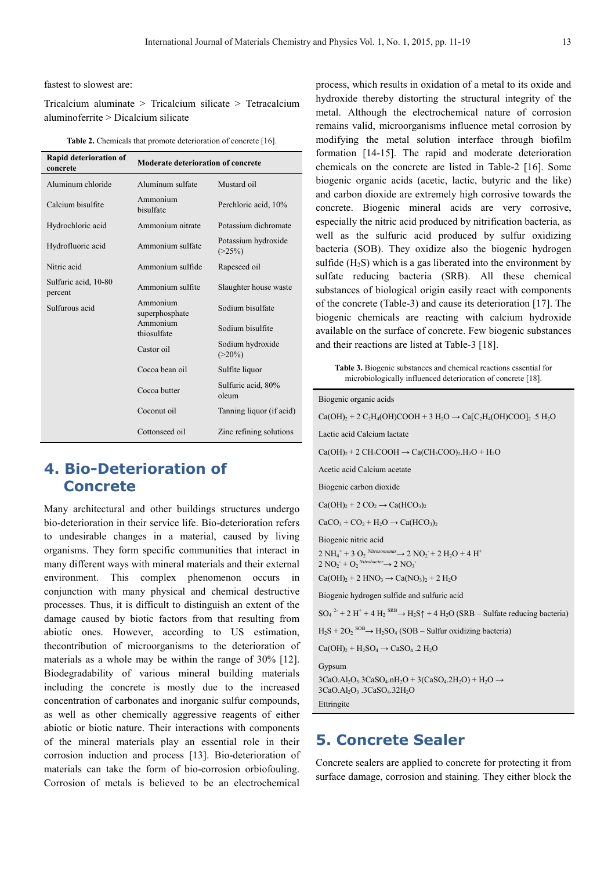fastest to slowest are:

Tricalcium aluminate > Tricalcium silicate > Tetracalcium aluminoferrite > Dicalcium silicate

| <b>Table 2.</b> Chemicals that promote deterioration of concrete [16]. |  |  |  |  |
|------------------------------------------------------------------------|--|--|--|--|
|------------------------------------------------------------------------|--|--|--|--|

| <b>Rapid deterioration of</b><br>concrete | <b>Moderate deterioration of concrete</b> |                                  |  |
|-------------------------------------------|-------------------------------------------|----------------------------------|--|
| Aluminum chloride                         | Aluminum sulfate                          | Mustard oil                      |  |
| Calcium bisulfite                         | Ammonium<br>bisulfate                     | Perchloric acid, 10%             |  |
| Hydrochloric acid                         | Ammonium nitrate                          | Potassium dichromate             |  |
| Hydrofluoric acid                         | Ammonium sulfate                          | Potassium hydroxide<br>$(>25\%)$ |  |
| Nitric acid                               | Ammonium sulfide                          | Rapeseed oil                     |  |
| Sulfuric acid, 10-80<br>percent           | Ammonium sulfite                          | Slaughter house waste            |  |
| Sulfurous acid                            | Ammonium<br>superphosphate                | Sodium bisulfate                 |  |
|                                           | Ammonium<br>thiosulfate                   | Sodium bisulfite                 |  |
|                                           | Castor oil                                | Sodium hydroxide<br>$(>20\%)$    |  |
|                                           | Cocoa bean oil                            | Sulfite liquor                   |  |
|                                           | Cocoa butter                              | Sulfuric acid, 80%<br>oleum      |  |
|                                           | Coconut oil                               | Tanning liquor (if acid)         |  |
|                                           | Cottonseed oil                            | Zinc refining solutions          |  |

# **4. Bio-Deterioration of Concrete**

Many architectural and other buildings structures undergo bio-deterioration in their service life. Bio-deterioration refers to undesirable changes in a material, caused by living organisms. They form specific communities that interact in many different ways with mineral materials and their external environment. This complex phenomenon occurs in conjunction with many physical and chemical destructive processes. Thus, it is difficult to distinguish an extent of the damage caused by biotic factors from that resulting from abiotic ones. However, according to US estimation, thecontribution of microorganisms to the deterioration of materials as a whole may be within the range of 30% [12]. Biodegradability of various mineral building materials including the concrete is mostly due to the increased concentration of carbonates and inorganic sulfur compounds, as well as other chemically aggressive reagents of either abiotic or biotic nature. Their interactions with components of the mineral materials play an essential role in their corrosion induction and process [13]. Bio-deterioration of materials can take the form of bio-corrosion orbiofouling. Corrosion of metals is believed to be an electrochemical process, which results in oxidation of a metal to its oxide and hydroxide thereby distorting the structural integrity of the metal. Although the electrochemical nature of corrosion remains valid, microorganisms influence metal corrosion by modifying the metal solution interface through biofilm formation [14-15]. The rapid and moderate deterioration chemicals on the concrete are listed in Table-2 [16]. Some biogenic organic acids (acetic, lactic, butyric and the like) and carbon dioxide are extremely high corrosive towards the concrete. Biogenic mineral acids are very corrosive, especially the nitric acid produced by nitrification bacteria, as well as the sulfuric acid produced by sulfur oxidizing bacteria (SOB). They oxidize also the biogenic hydrogen sulfide  $(H_2S)$  which is a gas liberated into the environment by sulfate reducing bacteria (SRB). All these chemical substances of biological origin easily react with components of the concrete (Table-3) and cause its deterioration [17]. The biogenic chemicals are reacting with calcium hydroxide available on the surface of concrete. Few biogenic substances and their reactions are listed at Table-3 [18].

**Table 3.** Biogenic substances and chemical reactions essential for microbiologically influenced deterioration of concrete [18].

| Biogenic organic acids                                                                                                                                              |
|---------------------------------------------------------------------------------------------------------------------------------------------------------------------|
| $Ca(OH)_2 + 2 C_2H_4(OH)COOH + 3 H_2O \rightarrow Ca[C_2H_4(OH)COO]_2$ . 5 H <sub>2</sub> O                                                                         |
| Lactic acid Calcium lactate                                                                                                                                         |
| $Ca(OH)2 + 2 CH3COOH \rightarrow Ca(CH3COO)2. H2O + H2O$                                                                                                            |
| Acetic acid Calcium acetate                                                                                                                                         |
| Biogenic carbon dioxide                                                                                                                                             |
| $Ca(OH)2 + 2 CO2 \rightarrow Ca(HCO3)2$                                                                                                                             |
| $CaCO3 + CO2 + H2O \rightarrow Ca(HCO3)$                                                                                                                            |
| Biogenic nitric acid                                                                                                                                                |
| $2 NH_4^+$ + 3 $O_2$ Nitrosomonas $\rightarrow$ 2 $NO_2$ <sup>+</sup> + 2 $H_2O$ + 4 $H^+$<br>$2 NO_2 + O_2$ <sup>Nitrobacter</sup> $\rightarrow$ 2 NO <sub>3</sub> |
| $Ca(OH)_{2}$ + 2 HNO <sub>3</sub> $\rightarrow$ Ca(NO <sub>3</sub> ) <sub>2</sub> + 2 H <sub>2</sub> O                                                              |
| Biogenic hydrogen sulfide and sulfuric acid                                                                                                                         |
| $SO_4^2$ + 2 H <sup>+</sup> + 4 H <sub>2</sub> <sup>SRB</sup> $\rightarrow$ H <sub>2</sub> S $\uparrow$ + 4 H <sub>2</sub> O (SRB – Sulfate reducing bacteria)      |
| $H_2S + 2O_2$ <sup>SOB</sup> $\rightarrow H_2SO_4$ (SOB – Sulfur oxidizing bacteria)                                                                                |
| $Ca(OH)2 + H2SO4 \rightarrow CaSO4$ .2 H <sub>2</sub> O                                                                                                             |
| Gypsum                                                                                                                                                              |
| $3CaO.AI2O3$ . $3CaSO4.nH2O + 3(CaSO4.2H2O) + H2O \rightarrow$<br>3CaO.Al <sub>2</sub> O <sub>3</sub> .3CaSO <sub>4</sub> .32H <sub>2</sub> O                       |
| Ettringite                                                                                                                                                          |

# **5. Concrete Sealer**

Concrete sealers are applied to concrete for protecting it from surface damage, corrosion and staining. They either block the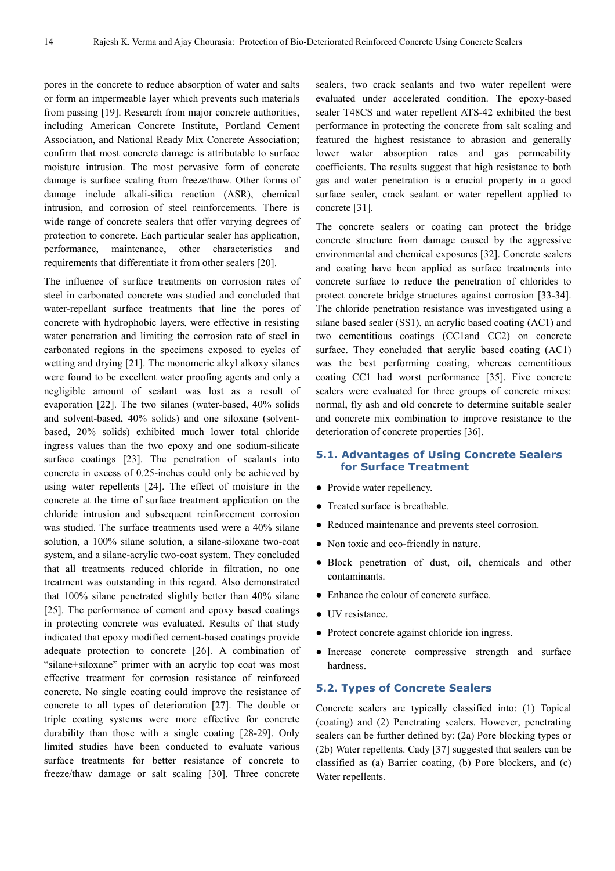pores in the concrete to reduce absorption of water and salts or form an impermeable layer which prevents such materials from passing [19]. Research from major concrete authorities, including American Concrete Institute, Portland Cement Association, and National Ready Mix Concrete Association; confirm that most concrete damage is attributable to surface moisture intrusion. The most pervasive form of concrete damage is surface scaling from freeze/thaw. Other forms of damage include alkali-silica reaction (ASR), chemical intrusion, and corrosion of steel reinforcements. There is wide range of concrete sealers that offer varying degrees of protection to concrete. Each particular sealer has application, performance, maintenance, other characteristics and requirements that differentiate it from other sealers [20].

The influence of surface treatments on corrosion rates of steel in carbonated concrete was studied and concluded that water-repellant surface treatments that line the pores of concrete with hydrophobic layers, were effective in resisting water penetration and limiting the corrosion rate of steel in carbonated regions in the specimens exposed to cycles of wetting and drying [21]. The monomeric alkyl alkoxy silanes were found to be excellent water proofing agents and only a negligible amount of sealant was lost as a result of evaporation [22]. The two silanes (water-based, 40% solids and solvent-based, 40% solids) and one siloxane (solventbased, 20% solids) exhibited much lower total chloride ingress values than the two epoxy and one sodium-silicate surface coatings [23]. The penetration of sealants into concrete in excess of 0.25-inches could only be achieved by using water repellents [24]. The effect of moisture in the concrete at the time of surface treatment application on the chloride intrusion and subsequent reinforcement corrosion was studied. The surface treatments used were a 40% silane solution, a 100% silane solution, a silane-siloxane two-coat system, and a silane-acrylic two-coat system. They concluded that all treatments reduced chloride in filtration, no one treatment was outstanding in this regard. Also demonstrated that 100% silane penetrated slightly better than 40% silane [25]. The performance of cement and epoxy based coatings in protecting concrete was evaluated. Results of that study indicated that epoxy modified cement-based coatings provide adequate protection to concrete [26]. A combination of "silane+siloxane" primer with an acrylic top coat was most effective treatment for corrosion resistance of reinforced concrete. No single coating could improve the resistance of concrete to all types of deterioration [27]. The double or triple coating systems were more effective for concrete durability than those with a single coating [28-29]. Only limited studies have been conducted to evaluate various surface treatments for better resistance of concrete to freeze/thaw damage or salt scaling [30]. Three concrete

sealers, two crack sealants and two water repellent were evaluated under accelerated condition. The epoxy-based sealer T48CS and water repellent ATS-42 exhibited the best performance in protecting the concrete from salt scaling and featured the highest resistance to abrasion and generally lower water absorption rates and gas permeability coefficients. The results suggest that high resistance to both gas and water penetration is a crucial property in a good surface sealer, crack sealant or water repellent applied to concrete [31].

The concrete sealers or coating can protect the bridge concrete structure from damage caused by the aggressive environmental and chemical exposures [32]. Concrete sealers and coating have been applied as surface treatments into concrete surface to reduce the penetration of chlorides to protect concrete bridge structures against corrosion [33-34]. The chloride penetration resistance was investigated using a silane based sealer (SS1), an acrylic based coating (AC1) and two cementitious coatings (CC1and CC2) on concrete surface. They concluded that acrylic based coating (AC1) was the best performing coating, whereas cementitious coating CC1 had worst performance [35]. Five concrete sealers were evaluated for three groups of concrete mixes: normal, fly ash and old concrete to determine suitable sealer and concrete mix combination to improve resistance to the deterioration of concrete properties [36].

#### **5.1. Advantages of Using Concrete Sealers for Surface Treatment**

- Provide water repellency.
- Treated surface is breathable.
- Reduced maintenance and prevents steel corrosion.
- Non toxic and eco-friendly in nature.
- Block penetration of dust, oil, chemicals and other contaminants.
- Enhance the colour of concrete surface.
- UV resistance.
- Protect concrete against chloride ion ingress.
- Increase concrete compressive strength and surface hardness.

### **5.2. Types of Concrete Sealers**

Concrete sealers are typically classified into: (1) Topical (coating) and (2) Penetrating sealers. However, penetrating sealers can be further defined by: (2a) Pore blocking types or (2b) Water repellents. Cady [37] suggested that sealers can be classified as (a) Barrier coating, (b) Pore blockers, and (c) Water repellents.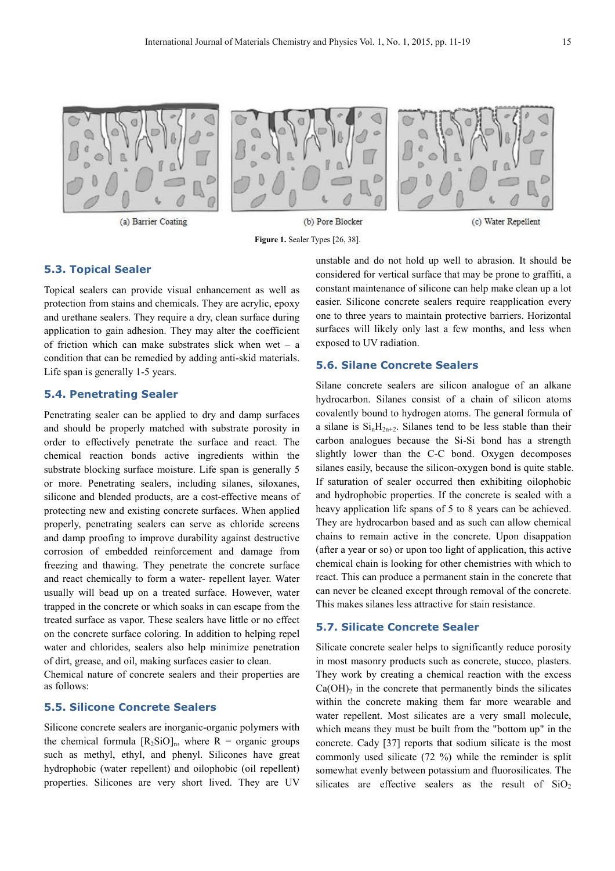



(a) Barrier Coating

(b) Pore Blocker



(c) Water Repellent

**Figure 1.** Sealer Types [26, 38].

### **5.3. Topical Sealer**

Topical sealers can provide visual enhancement as well as protection from stains and chemicals. They are acrylic, epoxy and urethane sealers. They require a dry, clean surface during application to gain adhesion. They may alter the coefficient of friction which can make substrates slick when wet – a condition that can be remedied by adding anti-skid materials. Life span is generally 1-5 years.

#### **5.4. Penetrating Sealer**

Penetrating sealer can be applied to dry and damp surfaces and should be properly matched with substrate porosity in order to effectively penetrate the surface and react. The chemical reaction bonds active ingredients within the substrate blocking surface moisture. Life span is generally 5 or more. Penetrating sealers, including silanes, siloxanes, silicone and blended products, are a cost-effective means of protecting new and existing concrete surfaces. When applied properly, penetrating sealers can serve as chloride screens and damp proofing to improve durability against destructive corrosion of embedded reinforcement and damage from freezing and thawing. They penetrate the concrete surface and react chemically to form a water- repellent layer. Water usually will bead up on a treated surface. However, water trapped in the concrete or which soaks in can escape from the treated surface as vapor. These sealers have little or no effect on the concrete surface coloring. In addition to helping repel water and chlorides, sealers also help minimize penetration of dirt, grease, and oil, making surfaces easier to clean.

Chemical nature of concrete sealers and their properties are as follows:

### **5.5. Silicone Concrete Sealers**

Silicone concrete sealers are inorganic-organic polymers with the chemical formula  $[R_2SiO]_n$ , where R = organic groups such as methyl, ethyl, and phenyl. Silicones have great hydrophobic (water repellent) and oilophobic (oil repellent) properties. Silicones are very short lived. They are UV unstable and do not hold up well to abrasion. It should be considered for vertical surface that may be prone to graffiti, a constant maintenance of silicone can help make clean up a lot easier. Silicone concrete sealers require reapplication every one to three years to maintain protective barriers. Horizontal surfaces will likely only last a few months, and less when exposed to UV radiation.

#### **5.6. Silane Concrete Sealers**

Silane concrete sealers are silicon analogue of an alkane hydrocarbon. Silanes consist of a chain of silicon atoms covalently bound to hydrogen atoms. The general formula of a silane is  $Si<sub>n</sub>H<sub>2n+2</sub>$ . Silanes tend to be less stable than their carbon analogues because the Si-Si bond has a strength slightly lower than the C-C bond. Oxygen decomposes silanes easily, because the silicon-oxygen bond is quite stable. If saturation of sealer occurred then exhibiting oilophobic and hydrophobic properties. If the concrete is sealed with a heavy application life spans of 5 to 8 years can be achieved. They are hydrocarbon based and as such can allow chemical chains to remain active in the concrete. Upon disappation (after a year or so) or upon too light of application, this active chemical chain is looking for other chemistries with which to react. This can produce a permanent stain in the concrete that can never be cleaned except through removal of the concrete. This makes silanes less attractive for stain resistance.

### **5.7. Silicate Concrete Sealer**

Silicate concrete sealer helps to significantly reduce porosity in most masonry products such as concrete, stucco, plasters. They work by creating a chemical reaction with the excess  $Ca(OH)<sub>2</sub>$  in the concrete that permanently binds the silicates within the concrete making them far more wearable and water repellent. Most silicates are a very small molecule, which means they must be built from the "bottom up" in the concrete. Cady [37] reports that sodium silicate is the most commonly used silicate (72 %) while the reminder is split somewhat evenly between potassium and fluorosilicates. The silicates are effective sealers as the result of  $SiO<sub>2</sub>$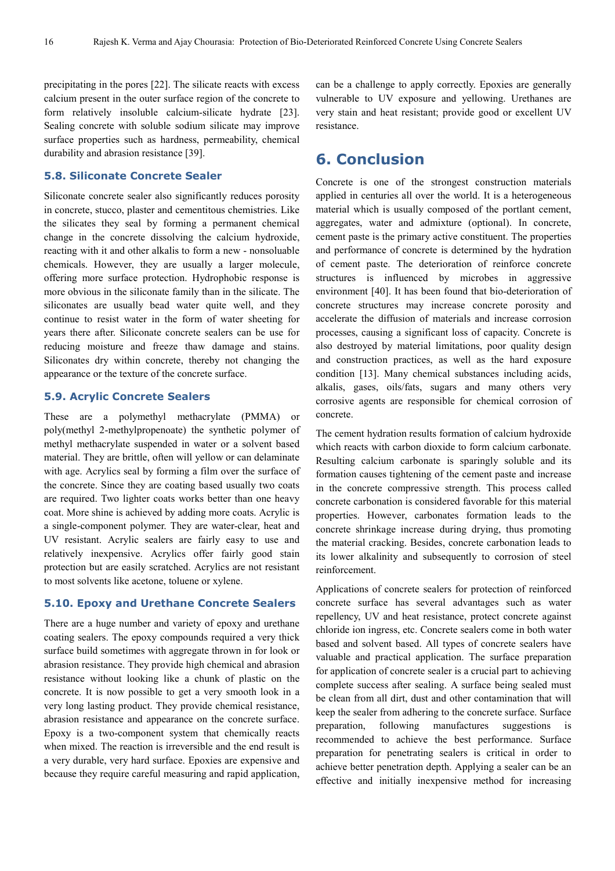precipitating in the pores [22]. The silicate reacts with excess calcium present in the outer surface region of the concrete to form relatively insoluble calcium-silicate hydrate [23]. Sealing concrete with soluble sodium silicate may improve surface properties such as hardness, permeability, chemical durability and abrasion resistance [39].

### **5.8. Siliconate Concrete Sealer**

Siliconate concrete sealer also significantly reduces porosity in concrete, stucco, plaster and cementitous chemistries. Like the silicates they seal by forming a permanent chemical change in the concrete dissolving the calcium hydroxide, reacting with it and other alkalis to form a new - nonsoluable chemicals. However, they are usually a larger molecule, offering more surface protection. Hydrophobic response is more obvious in the siliconate family than in the silicate. The siliconates are usually bead water quite well, and they continue to resist water in the form of water sheeting for years there after. Siliconate concrete sealers can be use for reducing moisture and freeze thaw damage and stains. Siliconates dry within concrete, thereby not changing the appearance or the texture of the concrete surface.

#### **5.9. Acrylic Concrete Sealers**

These are a polymethyl methacrylate (PMMA) or poly(methyl 2-methylpropenoate) the synthetic polymer of methyl methacrylate suspended in water or a solvent based material. They are brittle, often will yellow or can delaminate with age. Acrylics seal by forming a film over the surface of the concrete. Since they are coating based usually two coats are required. Two lighter coats works better than one heavy coat. More shine is achieved by adding more coats. Acrylic is a single-component polymer. They are water-clear, heat and UV resistant. Acrylic sealers are fairly easy to use and relatively inexpensive. Acrylics offer fairly good stain protection but are easily scratched. Acrylics are not resistant to most solvents like acetone, toluene or xylene.

### **5.10. Epoxy and Urethane Concrete Sealers**

There are a huge number and variety of epoxy and urethane coating sealers. The epoxy compounds required a very thick surface build sometimes with aggregate thrown in for look or abrasion resistance. They provide high chemical and abrasion resistance without looking like a chunk of plastic on the concrete. It is now possible to get a very smooth look in a very long lasting product. They provide chemical resistance, abrasion resistance and appearance on the concrete surface. Epoxy is a two-component system that chemically reacts when mixed. The reaction is irreversible and the end result is a very durable, very hard surface. Epoxies are expensive and because they require careful measuring and rapid application,

can be a challenge to apply correctly. Epoxies are generally vulnerable to UV exposure and yellowing. Urethanes are very stain and heat resistant; provide good or excellent UV resistance.

## **6. Conclusion**

Concrete is one of the strongest construction materials applied in centuries all over the world. It is a heterogeneous material which is usually composed of the portlant cement, aggregates, water and admixture (optional). In concrete, cement paste is the primary active constituent. The properties and performance of concrete is determined by the hydration of cement paste. The deterioration of reinforce concrete structures is influenced by microbes in aggressive environment [40]. It has been found that bio-deterioration of concrete structures may increase concrete porosity and accelerate the diffusion of materials and increase corrosion processes, causing a significant loss of capacity. Concrete is also destroyed by material limitations, poor quality design and construction practices, as well as the hard exposure condition [13]. Many chemical substances including acids, alkalis, gases, oils/fats, sugars and many others very corrosive agents are responsible for chemical corrosion of concrete.

The cement hydration results formation of calcium hydroxide which reacts with carbon dioxide to form calcium carbonate. Resulting calcium carbonate is sparingly soluble and its formation causes tightening of the cement paste and increase in the concrete compressive strength. This process called concrete carbonation is considered favorable for this material properties. However, carbonates formation leads to the concrete shrinkage increase during drying, thus promoting the material cracking. Besides, concrete carbonation leads to its lower alkalinity and subsequently to corrosion of steel reinforcement.

Applications of concrete sealers for protection of reinforced concrete surface has several advantages such as water repellency, UV and heat resistance, protect concrete against chloride ion ingress, etc. Concrete sealers come in both water based and solvent based. All types of concrete sealers have valuable and practical application. The surface preparation for application of concrete sealer is a crucial part to achieving complete success after sealing. A surface being sealed must be clean from all dirt, dust and other contamination that will keep the sealer from adhering to the concrete surface. Surface preparation, following manufactures suggestions is recommended to achieve the best performance. Surface preparation for penetrating sealers is critical in order to achieve better penetration depth. Applying a sealer can be an effective and initially inexpensive method for increasing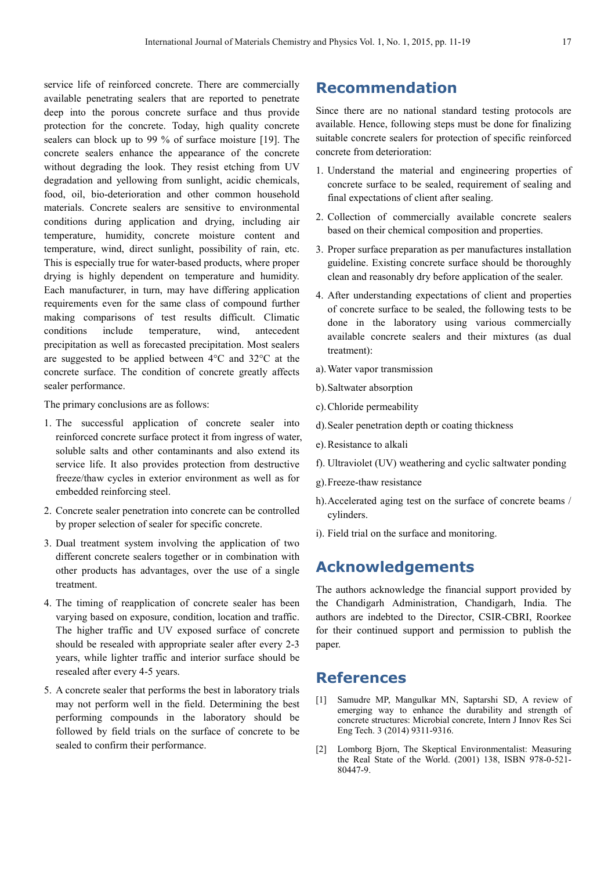service life of reinforced concrete. There are commercially available penetrating sealers that are reported to penetrate deep into the porous concrete surface and thus provide protection for the concrete. Today, high quality concrete sealers can block up to 99 % of surface moisture [19]. The concrete sealers enhance the appearance of the concrete without degrading the look. They resist etching from UV degradation and yellowing from sunlight, acidic chemicals, food, oil, bio-deterioration and other common household materials. Concrete sealers are sensitive to environmental conditions during application and drying, including air temperature, humidity, concrete moisture content and temperature, wind, direct sunlight, possibility of rain, etc. This is especially true for water-based products, where proper drying is highly dependent on temperature and humidity. Each manufacturer, in turn, may have differing application requirements even for the same class of compound further making comparisons of test results difficult. Climatic conditions include temperature, wind, antecedent precipitation as well as forecasted precipitation. Most sealers are suggested to be applied between 4°C and 32°C at the concrete surface. The condition of concrete greatly affects sealer performance.

The primary conclusions are as follows:

- 1. The successful application of concrete sealer into reinforced concrete surface protect it from ingress of water, soluble salts and other contaminants and also extend its service life. It also provides protection from destructive freeze/thaw cycles in exterior environment as well as for embedded reinforcing steel.
- 2. Concrete sealer penetration into concrete can be controlled by proper selection of sealer for specific concrete.
- 3. Dual treatment system involving the application of two different concrete sealers together or in combination with other products has advantages, over the use of a single treatment.
- 4. The timing of reapplication of concrete sealer has been varying based on exposure, condition, location and traffic. The higher traffic and UV exposed surface of concrete should be resealed with appropriate sealer after every 2-3 years, while lighter traffic and interior surface should be resealed after every 4-5 years.
- 5. A concrete sealer that performs the best in laboratory trials may not perform well in the field. Determining the best performing compounds in the laboratory should be followed by field trials on the surface of concrete to be sealed to confirm their performance.

# **Recommendation**

Since there are no national standard testing protocols are available. Hence, following steps must be done for finalizing suitable concrete sealers for protection of specific reinforced concrete from deterioration:

- 1. Understand the material and engineering properties of concrete surface to be sealed, requirement of sealing and final expectations of client after sealing.
- 2. Collection of commercially available concrete sealers based on their chemical composition and properties.
- 3. Proper surface preparation as per manufactures installation guideline. Existing concrete surface should be thoroughly clean and reasonably dry before application of the sealer.
- 4. After understanding expectations of client and properties of concrete surface to be sealed, the following tests to be done in the laboratory using various commercially available concrete sealers and their mixtures (as dual treatment):
- a).Water vapor transmission
- b).Saltwater absorption
- c).Chloride permeability
- d).Sealer penetration depth or coating thickness
- e).Resistance to alkali
- f). Ultraviolet (UV) weathering and cyclic saltwater ponding
- g).Freeze-thaw resistance
- h).Accelerated aging test on the surface of concrete beams / cylinders.
- i). Field trial on the surface and monitoring.

# **Acknowledgements**

The authors acknowledge the financial support provided by the Chandigarh Administration, Chandigarh, India. The authors are indebted to the Director, CSIR-CBRI, Roorkee for their continued support and permission to publish the paper.

### **References**

- [1] Samudre MP, Mangulkar MN, Saptarshi SD, A review of emerging way to enhance the durability and strength of concrete structures: Microbial concrete, Intern J Innov Res Sci Eng Tech. 3 (2014) 9311-9316.
- [2] Lomborg Bjorn, The Skeptical Environmentalist: Measuring the Real State of the World. (2001) 138, ISBN 978-0-521- 80447-9.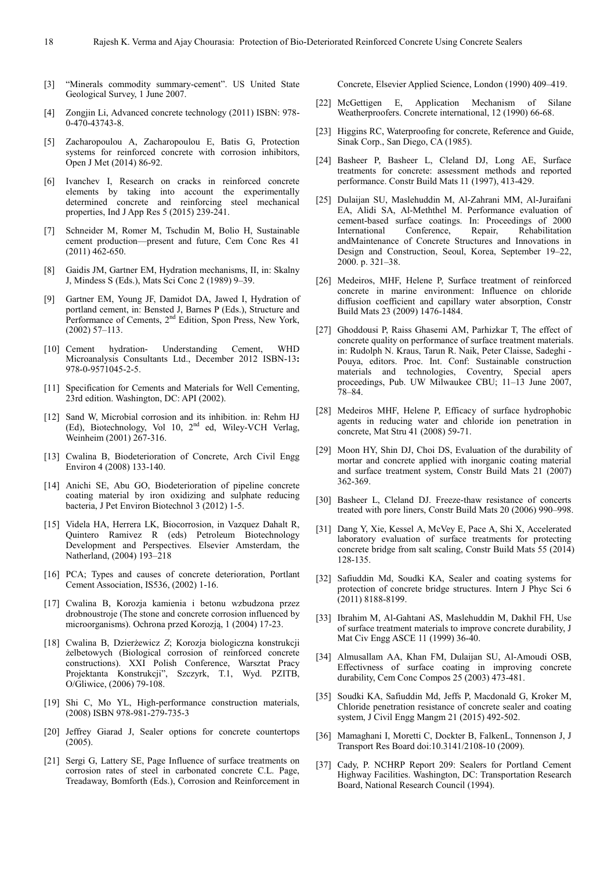- [3] "Minerals commodity summary-cement". US United State Geological Survey, 1 June 2007.
- [4] Zongjin Li, Advanced concrete technology (2011) ISBN: 978- 0-470-43743-8.
- [5] Zacharopoulou A, Zacharopoulou E, Batis G, Protection systems for reinforced concrete with corrosion inhibitors, Open J Met (2014) 86-92.
- [6] Ivanchev I, Research on cracks in reinforced concrete elements by taking into account the experimentally determined concrete and reinforcing steel mechanical properties, Ind J App Res 5 (2015) 239-241.
- [7] Schneider M, Romer M, Tschudin M, Bolio H, Sustainable cement production—present and future, Cem Conc Res 41 (2011) 462-650.
- [8] Gaidis JM, Gartner EM, Hydration mechanisms, II, in: Skalny J, Mindess S (Eds.), Mats Sci Conc 2 (1989) 9–39.
- [9] Gartner EM, Young JF, Damidot DA, Jawed I, Hydration of portland cement, in: Bensted J, Barnes P (Eds.), Structure and Performance of Cements, 2<sup>nd</sup> Edition, Spon Press, New York, (2002) 57–113.
- [10] Cement hydration- Understanding Cement, WHD Microanalysis Consultants Ltd., December 2012 ISBN-13**:** 978-0-9571045-2-5.
- [11] Specification for Cements and Materials for Well Cementing, 23rd edition. Washington, DC: API (2002).
- [12] Sand W, Microbial corrosion and its inhibition. in: Rehm HJ (Ed), Biotechnology, Vol 10, 2nd ed, Wiley-VCH Verlag, Weinheim (2001) 267-316.
- [13] Cwalina B, Biodeterioration of Concrete, Arch Civil Engg Environ 4 (2008) 133-140.
- [14] Anichi SE, Abu GO, Biodeterioration of pipeline concrete coating material by iron oxidizing and sulphate reducing bacteria, J Pet Environ Biotechnol 3 (2012) 1-5.
- [15] Videla HA, Herrera LK, Biocorrosion, in Vazquez Dahalt R, Quintero Ramivez R (eds) Petroleum Biotechnology Development and Perspectives. Elsevier Amsterdam, the Natherland, (2004) 193–218
- [16] PCA; Types and causes of concrete deterioration, Portlant Cement Association, IS536, (2002) 1-16.
- [17] Cwalina B, Korozja kamienia i betonu wzbudzona przez drobnoustroje (The stone and concrete corrosion influenced by microorganisms). Ochrona przed Korozją, 1 (2004) 17-23.
- [18] Cwalina B, Dzierżewicz *Z*; Korozja biologiczna konstrukcji żelbetowych (Biological corrosion of reinforced concrete constructions). XXI Polish Conference, Warsztat Pracy Projektanta Konstrukcji", Szczyrk, T.1, Wyd. PZITB, O/Gliwice, (2006) 79-108.
- [19] Shi C, Mo YL, High-performance construction materials, (2008) ISBN 978-981-279-735-3
- [20] Jeffrey Giarad J, Sealer options for concrete countertops (2005).
- [21] Sergi G, Lattery SE, Page Influence of surface treatments on corrosion rates of steel in carbonated concrete C.L. Page, Treadaway, Bomforth (Eds.), Corrosion and Reinforcement in

Concrete, Elsevier Applied Science, London (1990) 409–419.

- [22] McGettigen E, Application Mechanism of Silane Weatherproofers. Concrete international, 12 (1990) 66-68.
- [23] Higgins RC, Waterproofing for concrete, Reference and Guide, Sinak Corp., San Diego, CA (1985).
- [24] Basheer P, Basheer L, Cleland DJ, Long AE, Surface treatments for concrete: assessment methods and reported performance. Constr Build Mats 11 (1997), 413-429.
- [25] Dulaijan SU, Maslehuddin M, Al-Zahrani MM, Al-Juraifani EA, Alidi SA, Al-Meththel M. Performance evaluation of cement-based surface coatings. In: Proceedings of 2000 International Conference, Repair, Rehabilitation andMaintenance of Concrete Structures and Innovations in Design and Construction, Seoul, Korea, September 19–22, 2000. p. 321–38.
- [26] Medeiros, MHF, Helene P, Surface treatment of reinforced concrete in marine environment: Influence on chloride diffusion coefficient and capillary water absorption, Constr Build Mats 23 (2009) 1476-1484.
- [27] Ghoddousi P, Raiss Ghasemi AM, Parhizkar T, The effect of concrete quality on performance of surface treatment materials. in: Rudolph N. Kraus, Tarun R. Naik, Peter Claisse, Sadeghi - Pouya, editors. Proc. Int. Conf: Sustainable construction materials and technologies, Coventry, Special apers proceedings, Pub. UW Milwaukee CBU; 11–13 June 2007,  $78 - 84$ .
- [28] Medeiros MHF, Helene P, Efficacy of surface hydrophobic agents in reducing water and chloride ion penetration in concrete, Mat Stru 41 (2008) 59-71.
- [29] Moon HY, Shin DJ, Choi DS, Evaluation of the durability of mortar and concrete applied with inorganic coating material and surface treatment system, Constr Build Mats 21 (2007) 362-369.
- [30] Basheer L, Cleland DJ. Freeze-thaw resistance of concerts treated with pore liners, Constr Build Mats 20 (2006) 990–998.
- [31] Dang Y, Xie, Kessel A, McVey E, Pace A, Shi X, Accelerated laboratory evaluation of surface treatments for protecting concrete bridge from salt scaling, Constr Build Mats 55 (2014) 128-135.
- [32] Safiuddin Md, Soudki KA, Sealer and coating systems for protection of concrete bridge structures. Intern J Phyc Sci 6 (2011) 8188-8199.
- [33] Ibrahim M, Al-Gahtani AS, Maslehuddin M, Dakhil FH, Use of surface treatment materials to improve concrete durability, J Mat Civ Engg ASCE 11 (1999) 36-40.
- [34] Almusallam AA, Khan FM, Dulaijan SU, Al-Amoudi OSB, Effectivness of surface coating in improving concrete durability, Cem Conc Compos 25 (2003) 473-481.
- [35] Soudki KA, Safiuddin Md, Jeffs P, Macdonald G, Kroker M, Chloride penetration resistance of concrete sealer and coating system, J Civil Engg Mangm 21 (2015) 492-502.
- [36] Mamaghani I, Moretti C, Dockter B, FalkenL, Tonnenson J, J Transport Res Board doi:10.3141/2108-10 (2009).
- [37] Cady, P. NCHRP Report 209: Sealers for Portland Cement Highway Facilities. Washington, DC: Transportation Research Board, National Research Council (1994).